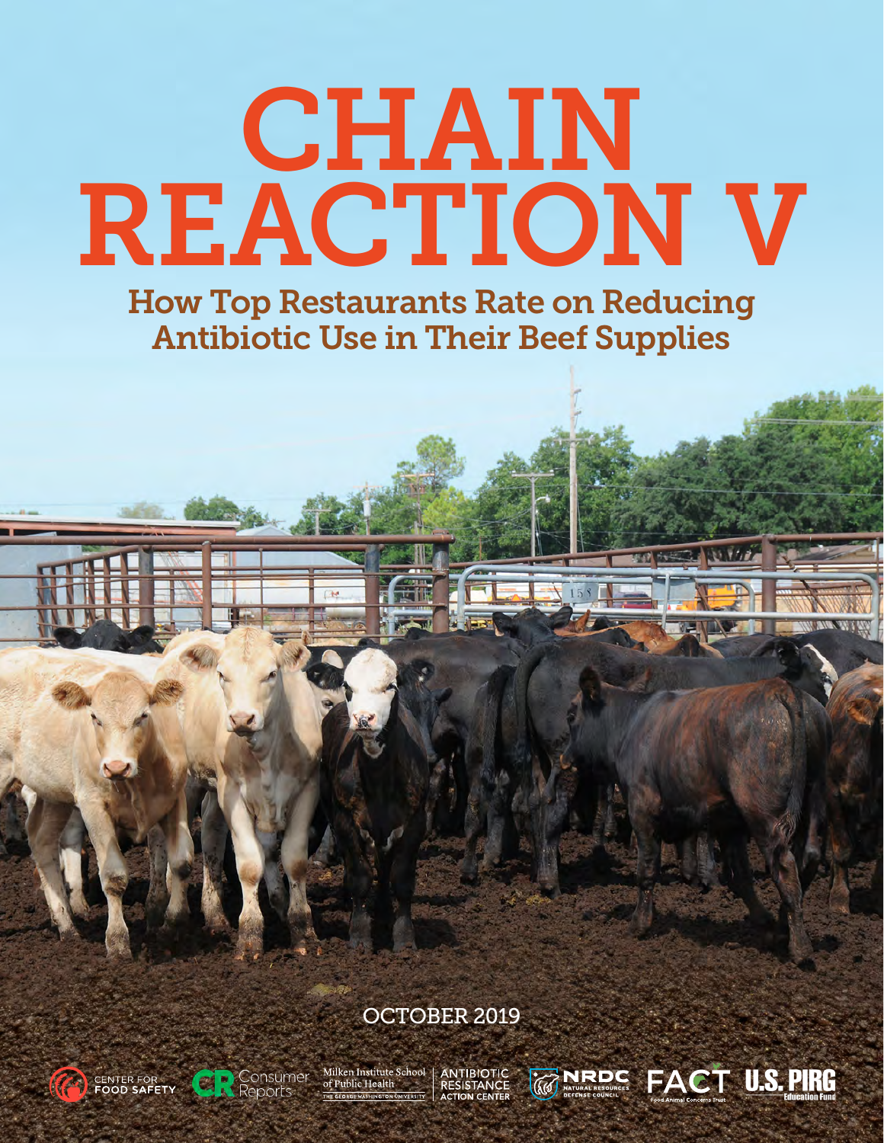# CHAIN REACTION V

How Top Restaurants Rate on Reducing Antibiotic Use in Their Beef Supplies

OCTOBER 2019





 $\begin{tabular}{|l|l|} \hline Milken Institute School \\ \hline of Public Health \\ \hline \end{tabular}$ 

ANTIBIOTIC<br>RESISTANCE<br>ACTION CENTER

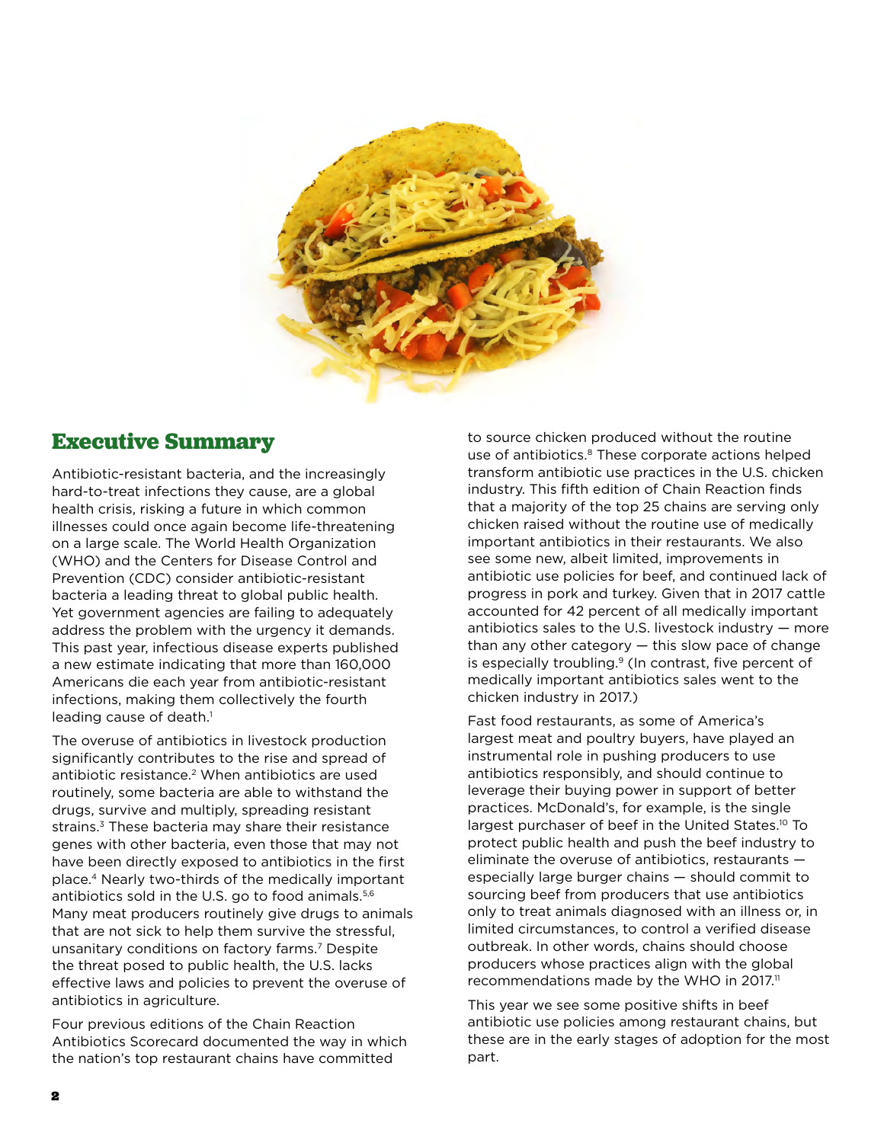

# **Executive Summary**

Antibiotic-resistant bacteria, and the increasingly hard-to-treat infections they cause, are a global health crisis, risking a future in which common illnesses could once again become life-threatening on a large scale. The World Health Organization (WHO) and the Centers for Disease Control and Prevention (CDC) consider antibiotic-resistant bacteria a leading threat to global public health. Yet government agencies are failing to adequately address the problem with the urgency it demands. This past year, infectious disease experts published a new estimate indicating that more than 160,000 Americans die each year from antibiotic-resistant infections, making them collectively the fourth leading cause of death.<sup>1</sup>

The overuse of antibiotics in livestock production significantly contributes to the rise and spread of antibiotic resistance.<sup>2</sup> When antibiotics are used routinely, some bacteria are able to withstand the drugs, survive and multiply, spreading resistant strains.<sup>3</sup> These bacteria may share their resistance genes with other bacteria, even those that may not have been directly exposed to antibiotics in the first place.4 Nearly two-thirds of the medically important antibiotics sold in the U.S. go to food animals.<sup>5,6</sup> Many meat producers routinely give drugs to animals that are not sick to help them survive the stressful, unsanitary conditions on factory farms.7 Despite the threat posed to public health, the U.S. lacks effective laws and policies to prevent the overuse of antibiotics in agriculture.

Four previous editions of the Chain Reaction Antibiotics Scorecard documented the way in which the nation's top restaurant chains have committed

to source chicken produced without the routine use of antibiotics.<sup>8</sup> These corporate actions helped transform antibiotic use practices in the U.S. chicken industry. This fifth edition of Chain Reaction finds that a majority of the top 25 chains are serving only chicken raised without the routine use of medically important antibiotics in their restaurants. We also see some new, albeit limited, improvements in antibiotic use policies for beef, and continued lack of progress in pork and turkey. Given that in 2017 cattle accounted for 42 percent of all medically important antibiotics sales to the U.S. livestock industry  $-$  more than any other category  $-$  this slow pace of change is especially troubling.<sup>9</sup> (In contrast, five percent of medically important antibiotics sales went to the chicken industry in 2017.)

Fast food restaurants, as some of America's largest meat and poultry buyers, have played an instrumental role in pushing producers to use antibiotics responsibly, and should continue to leverage their buying power in support of better practices. McDonald's, for example, is the single largest purchaser of beef in the United States.<sup>10</sup> To protect public health and push the beef industry to eliminate the overuse of antibiotics, restaurants especially large burger chains — should commit to sourcing beef from producers that use antibiotics only to treat animals diagnosed with an illness or, in limited circumstances, to control a verified disease outbreak. In other words, chains should choose producers whose practices align with the global recommendations made by the WHO in 2017. $\mathbb{I}^1$ 

This year we see some positive shifts in beef antibiotic use policies among restaurant chains, but these are in the early stages of adoption for the most part.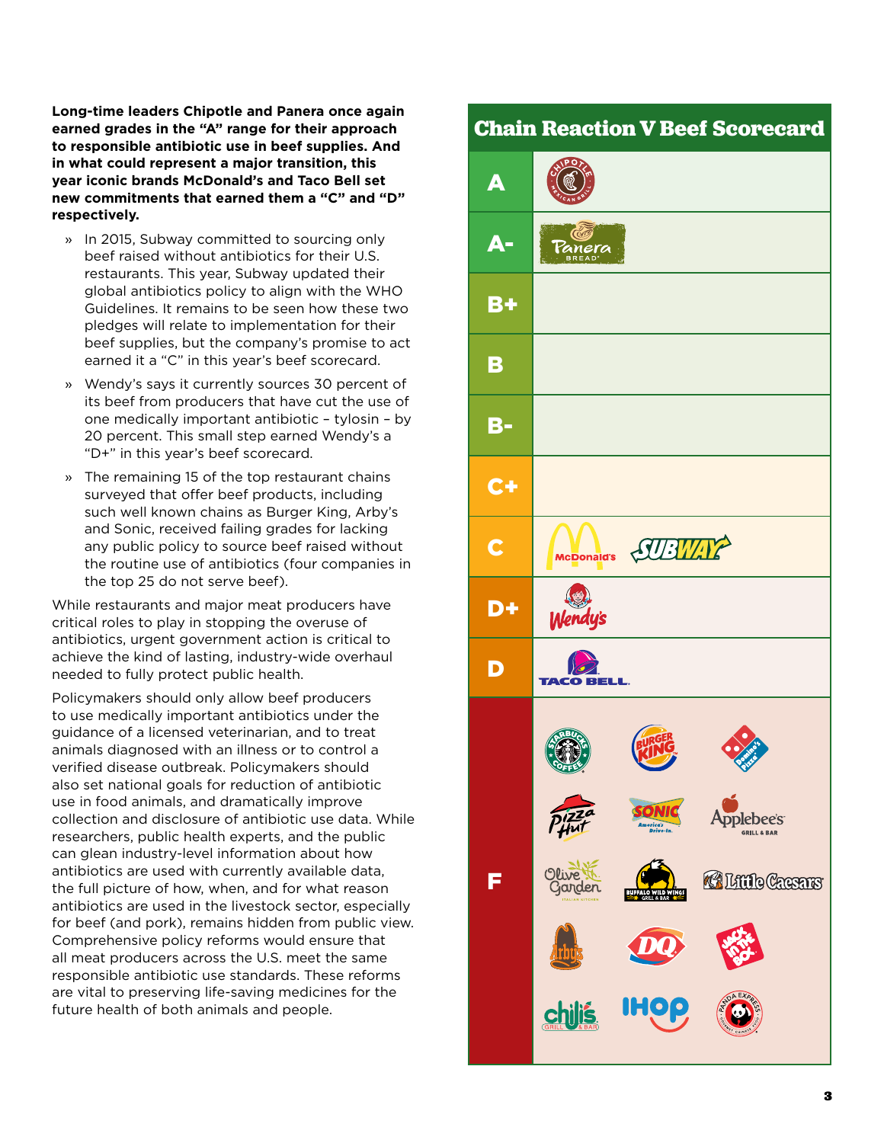**Long-time leaders Chipotle and Panera once again earned grades in the "A" range for their approach to responsible antibiotic use in beef supplies. And in what could represent a major transition, this year iconic brands McDonald's and Taco Bell set new commitments that earned them a "C" and "D" respectively.** 

- » In 2015, Subway committed to sourcing only beef raised without antibiotics for their U.S. restaurants. This year, Subway updated their global antibiotics policy to align with the WHO Guidelines. It remains to be seen how these two pledges will relate to implementation for their beef supplies, but the company's promise to act earned it a "C" in this year's beef scorecard.
- » Wendy's says it currently sources 30 percent of its beef from producers that have cut the use of one medically important antibiotic – tylosin – by 20 percent. This small step earned Wendy's a "D+" in this year's beef scorecard.
- » The remaining 15 of the top restaurant chains surveyed that offer beef products, including such well known chains as Burger King, Arby's and Sonic, received failing grades for lacking any public policy to source beef raised without the routine use of antibiotics (four companies in the top 25 do not serve beef).

While restaurants and major meat producers have critical roles to play in stopping the overuse of antibiotics, urgent government action is critical to achieve the kind of lasting, industry-wide overhaul needed to fully protect public health.

Policymakers should only allow beef producers to use medically important antibiotics under the guidance of a licensed veterinarian, and to treat animals diagnosed with an illness or to control a verified disease outbreak. Policymakers should also set national goals for reduction of antibiotic use in food animals, and dramatically improve collection and disclosure of antibiotic use data. While researchers, public health experts, and the public can glean industry-level information about how antibiotics are used with currently available data, the full picture of how, when, and for what reason antibiotics are used in the livestock sector, especially for beef (and pork), remains hidden from public view. Comprehensive policy reforms would ensure that all meat producers across the U.S. meet the same responsible antibiotic use standards. These reforms are vital to preserving life-saving medicines for the future health of both animals and people.

## **Chain Reaction V Beef Scorecard**